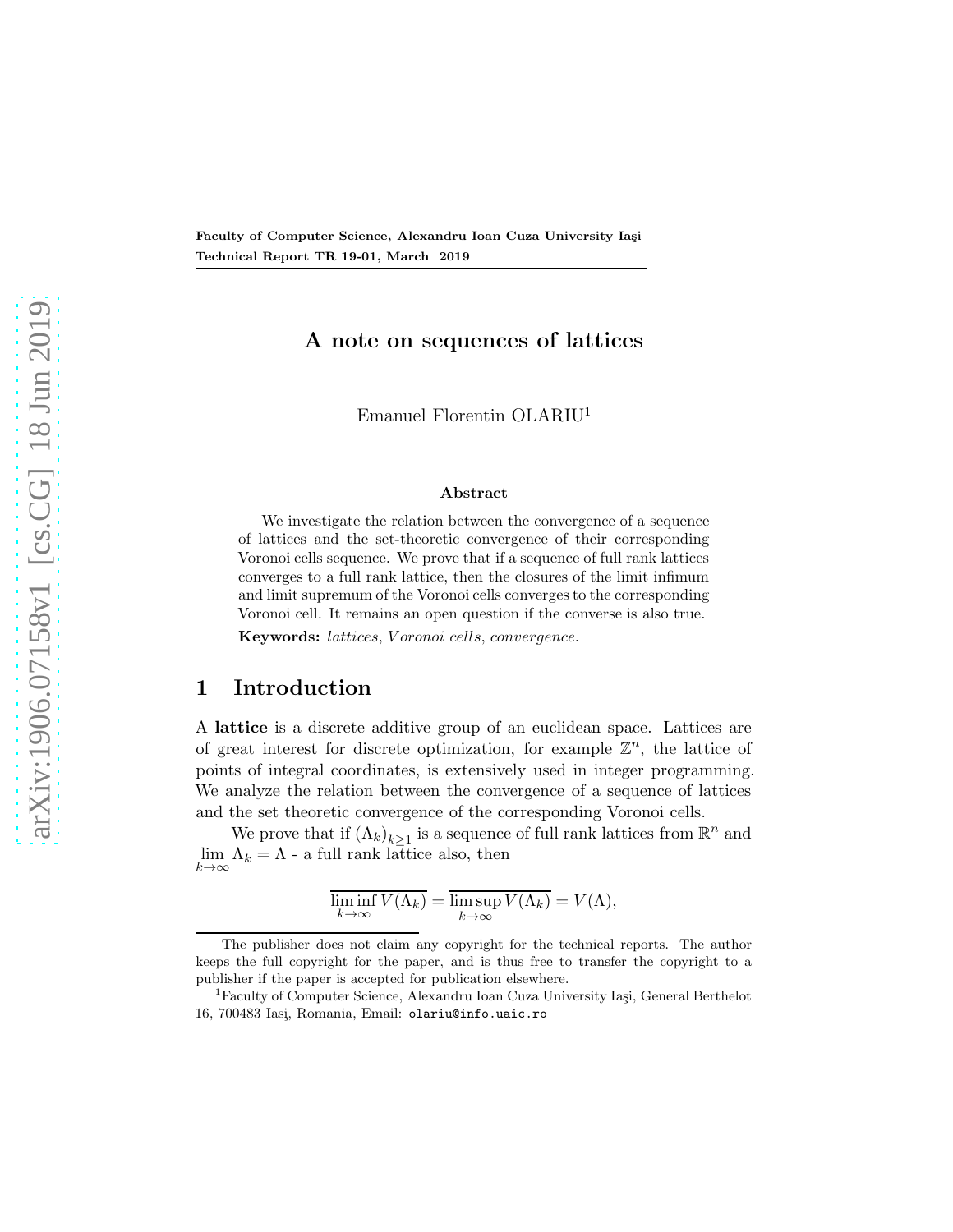Faculty of Computer Science, Alexandru Ioan Cuza University Iaşi Technical Report TR 19-01, March 2019

# A note on sequences of lattices

Emanuel Florentin OLARIU[1](#page-0-0)

#### Abstract

We investigate the relation between the convergence of a sequence of lattices and the set-theoretic convergence of their corresponding Voronoi cells sequence. We prove that if a sequence of full rank lattices converges to a full rank lattice, then the closures of the limit infimum and limit supremum of the Voronoi cells converges to the corresponding Voronoi cell. It remains an open question if the converse is also true. Keywords: lattices, V oronoi cells, convergence.

## 1 Introduction

A lattice is a discrete additive group of an euclidean space. Lattices are of great interest for discrete optimization, for example  $\mathbb{Z}^n$ , the lattice of points of integral coordinates, is extensively used in integer programming. We analyze the relation between the convergence of a sequence of lattices and the set theoretic convergence of the corresponding Voronoi cells.

We prove that if  $(\Lambda_k)_{k\geq 1}$  is a sequence of full rank lattices from  $\mathbb{R}^n$  and lim  $\Lambda_k = \Lambda$  - a full rank lattice also, then  $k\rightarrow\infty$ 

$$
\overline{\liminf_{k \to \infty} V(\Lambda_k)} = \overline{\limsup_{k \to \infty} V(\Lambda_k)} = V(\Lambda),
$$

The publisher does not claim any copyright for the technical reports. The author keeps the full copyright for the paper, and is thus free to transfer the copyright to a publisher if the paper is accepted for publication elsewhere.

<span id="page-0-0"></span><sup>&</sup>lt;sup>1</sup>Faculty of Computer Science, Alexandru Ioan Cuza University Iași, General Berthelot 16, 700483 Iasi¸, Romania, Email: olariu@info.uaic.ro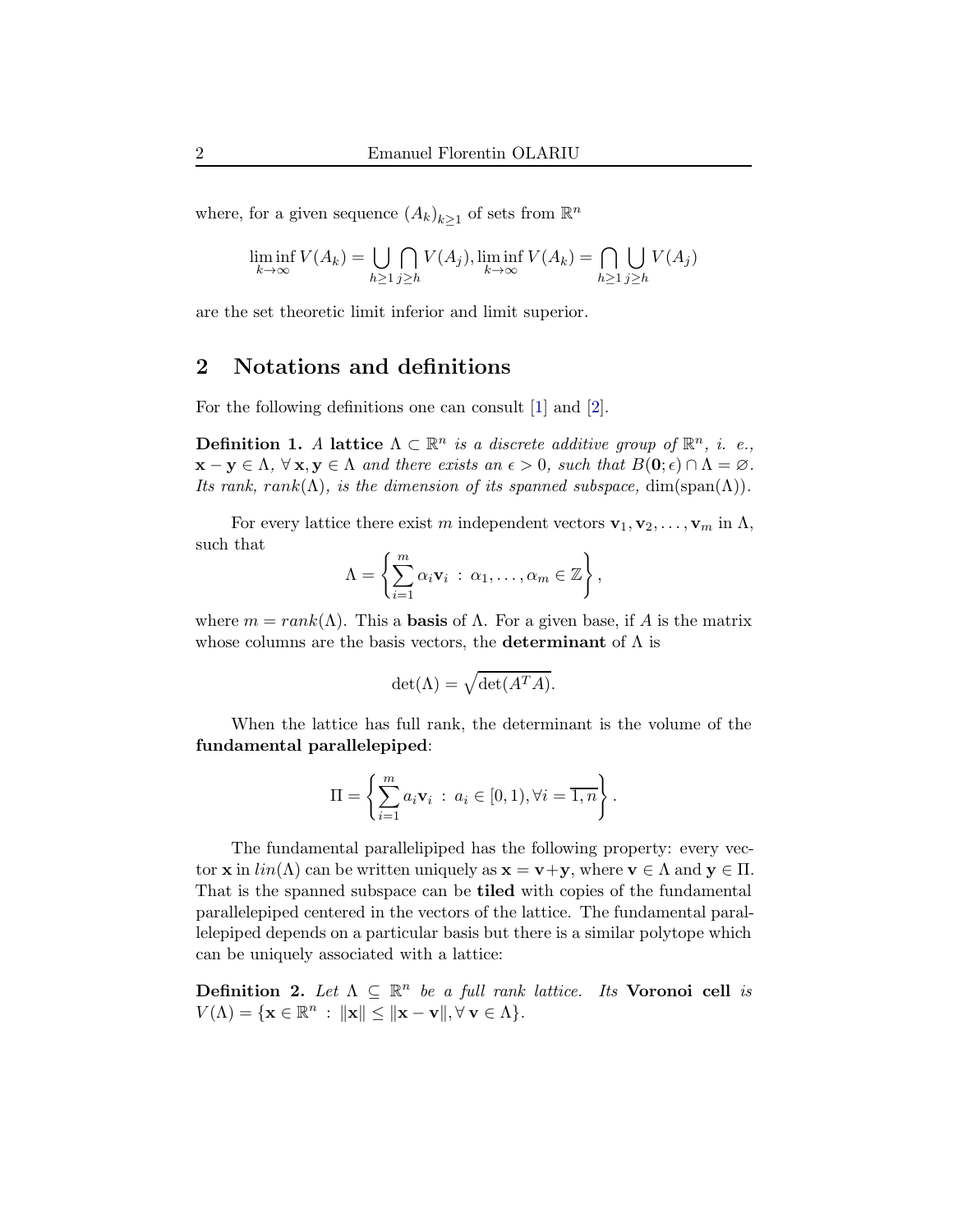where, for a given sequence  $(A_k)_{k\geq 1}$  of sets from  $\mathbb{R}^n$ 

$$
\liminf_{k \to \infty} V(A_k) = \bigcup_{h \ge 1} \bigcap_{j \ge h} V(A_j), \liminf_{k \to \infty} V(A_k) = \bigcap_{h \ge 1} \bigcup_{j \ge h} V(A_j)
$$

are the set theoretic limit inferior and limit superior.

## 2 Notations and definitions

For the following definitions one can consult [\[1\]](#page-4-0) and [\[2\]](#page-5-0).

**Definition 1.** A lattice  $\Lambda \subset \mathbb{R}^n$  is a discrete additive group of  $\mathbb{R}^n$ , i. e.,  $\mathbf{x} - \mathbf{y} \in \Lambda$ ,  $\forall \mathbf{x}, \mathbf{y} \in \Lambda$  and there exists an  $\epsilon > 0$ , such that  $B(\mathbf{0}; \epsilon) \cap \Lambda = \varnothing$ . Its rank, rank( $\Lambda$ ), is the dimension of its spanned subspace, dim(span( $\Lambda$ )).

For every lattice there exist m independent vectors  $\mathbf{v}_1, \mathbf{v}_2, \ldots, \mathbf{v}_m$  in  $\Lambda$ , such that

$$
\Lambda = \left\{ \sum_{i=1}^m \alpha_i \mathbf{v}_i \; : \; \alpha_1, \ldots, \alpha_m \in \mathbb{Z} \right\},\
$$

where  $m = rank(\Lambda)$ . This a **basis** of  $\Lambda$ . For a given base, if A is the matrix whose columns are the basis vectors, the **determinant** of  $\Lambda$  is

$$
\det(\Lambda) = \sqrt{\det(A^T A)}.
$$

When the lattice has full rank, the determinant is the volume of the fundamental parallelepiped:

$$
\Pi = \left\{ \sum_{i=1}^m a_i \mathbf{v}_i \; : \; a_i \in [0,1), \forall i = \overline{1,n} \right\}.
$$

The fundamental parallelipiped has the following property: every vector **x** in  $lin(\Lambda)$  can be written uniquely as  $\mathbf{x} = \mathbf{v} + \mathbf{y}$ , where  $\mathbf{v} \in \Lambda$  and  $\mathbf{y} \in \Pi$ . That is the spanned subspace can be tiled with copies of the fundamental parallelepiped centered in the vectors of the lattice. The fundamental parallelepiped depends on a particular basis but there is a similar polytope which can be uniquely associated with a lattice:

Definition 2. Let  $\Lambda \subseteq \mathbb{R}^n$  be a full rank lattice. Its Voronoi cell is  $V(\Lambda) = \{ \mathbf{x} \in \mathbb{R}^n : ||\mathbf{x}|| \le ||\mathbf{x} - \mathbf{v}||, \forall \mathbf{v} \in \Lambda \}.$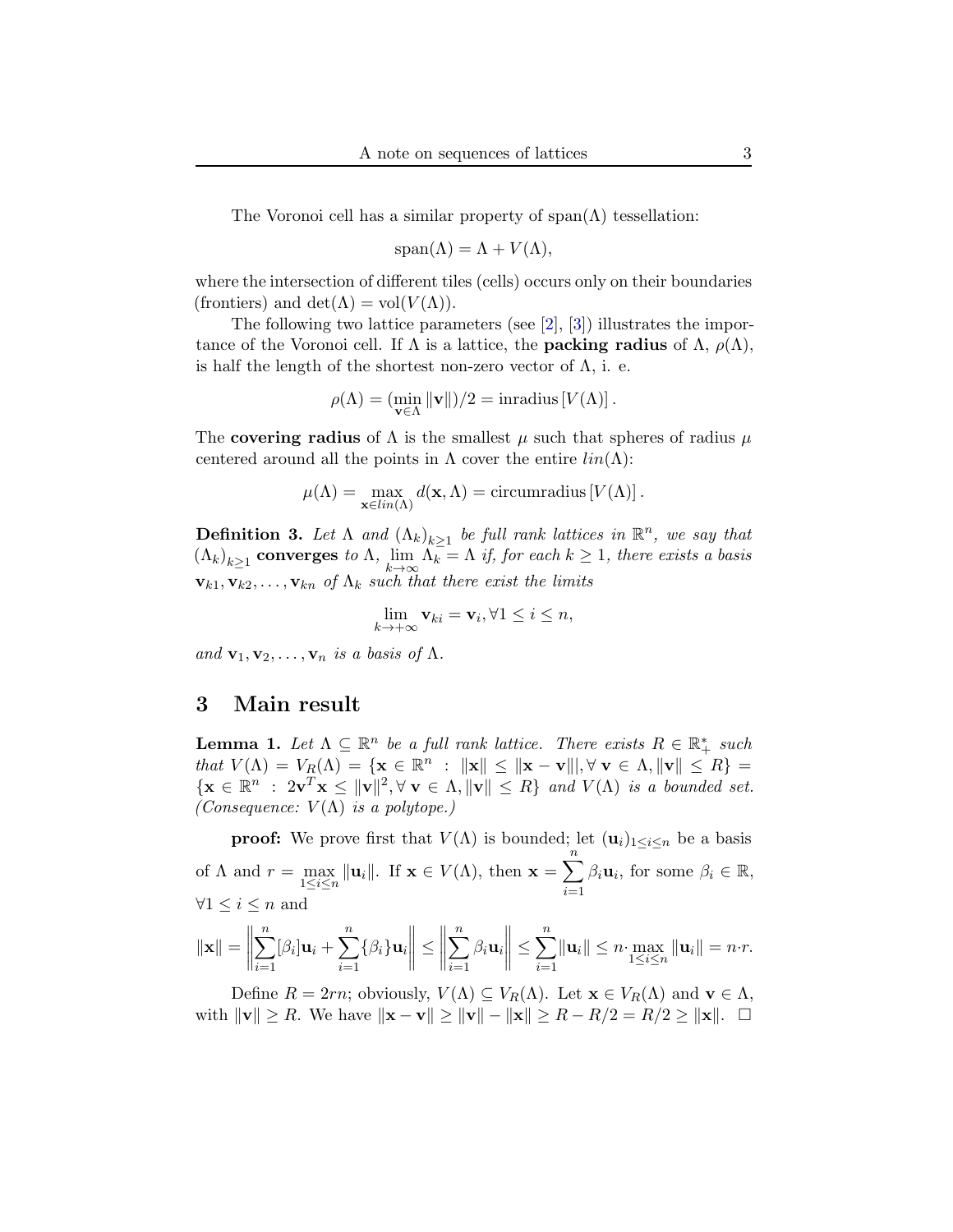The Voronoi cell has a similar property of  $\text{span}(\Lambda)$  tessellation:

$$
\text{span}(\Lambda) = \Lambda + V(\Lambda),
$$

where the intersection of different tiles (cells) occurs only on their boundaries (frontiers) and  $\det(\Lambda) = \text{vol}(V(\Lambda)).$ 

The following two lattice parameters (see [\[2\]](#page-5-0), [\[3\]](#page-5-1)) illustrates the importance of the Voronoi cell. If  $\Lambda$  is a lattice, the **packing radius** of  $\Lambda$ ,  $\rho(\Lambda)$ , is half the length of the shortest non-zero vector of  $\Lambda$ , i. e.

$$
\rho(\Lambda) = (\min_{\mathbf{v} \in \Lambda} \|\mathbf{v}\|)/2 = \text{inradius}[V(\Lambda)].
$$

The covering radius of  $\Lambda$  is the smallest  $\mu$  such that spheres of radius  $\mu$ centered around all the points in  $\Lambda$  cover the entire  $lin(\Lambda)$ :

$$
\mu(\Lambda) = \max_{\mathbf{x} \in lin(\Lambda)} d(\mathbf{x}, \Lambda) = \text{circumradius}[V(\Lambda)].
$$

**Definition 3.** Let  $\Lambda$  and  $(\Lambda_k)_{k\geq 1}$  be full rank lattices in  $\mathbb{R}^n$ , we say that  $(\Lambda_k)_{k\geq 1}$  converges to  $\Lambda$ ,  $\lim_{k\to\infty}\Lambda_k=\Lambda$  if, for each  $k\geq 1$ , there exists a basis  $\mathbf{v}_{k1}, \mathbf{v}_{k2}, \ldots, \mathbf{v}_{kn}$  of  $\Lambda_k$  such that there exist the limits

$$
\lim_{k \to +\infty} \mathbf{v}_{ki} = \mathbf{v}_i, \forall 1 \le i \le n,
$$

and  $\mathbf{v}_1, \mathbf{v}_2, \ldots, \mathbf{v}_n$  is a basis of  $\Lambda$ .

#### 3 Main result

**Lemma 1.** Let  $\Lambda \subseteq \mathbb{R}^n$  be a full rank lattice. There exists  $R \in \mathbb{R}_+^*$  such that  $V(\Lambda) = V_R(\Lambda) = \{ \mathbf{x} \in \mathbb{R}^n : ||\mathbf{x}|| \le ||\mathbf{x} - \mathbf{v}||, \forall \mathbf{v} \in \Lambda, ||\mathbf{v}|| \le R \} =$  $\{ \mathbf{x} \in \mathbb{R}^n : 2\mathbf{v}^T\mathbf{x} \leq ||\mathbf{v}||^2, \forall \mathbf{v} \in \Lambda, ||\mathbf{v}|| \leq R \}$  and  $V(\Lambda)$  is a bounded set. (Consequence:  $V(\Lambda)$  is a polytope.)

**proof:** We prove first that  $V(\Lambda)$  is bounded; let  $(\mathbf{u}_i)_{1 \leq i \leq n}$  be a basis of  $\Lambda$  and  $r = \max_{1 \leq i \leq n} ||\mathbf{u}_i||$ . If  $\mathbf{x} \in V(\Lambda)$ , then  $\mathbf{x} = \sum_{i=1}^n$  $i=1$  $\beta_i \mathbf{u}_i$ , for some  $\beta_i \in \mathbb{R}$ ,  $\forall 1 \leq i \leq n$  and

$$
\|\mathbf{x}\| = \left\|\sum_{i=1}^n [\beta_i] \mathbf{u}_i + \sum_{i=1}^n {\{\beta_i\}} \mathbf{u}_i\right\| \le \left\|\sum_{i=1}^n \beta_i \mathbf{u}_i\right\| \le \sum_{i=1}^n \|\mathbf{u}_i\| \le n \cdot \max_{1 \le i \le n} \|\mathbf{u}_i\| = n \cdot r.
$$

Define  $R = 2rn$ ; obviously,  $V(\Lambda) \subseteq V_R(\Lambda)$ . Let  $\mathbf{x} \in V_R(\Lambda)$  and  $\mathbf{v} \in \Lambda$ , with  $||\mathbf{v}|| \ge R$ . We have  $||\mathbf{x} - \mathbf{v}|| \ge ||\mathbf{v}|| - ||\mathbf{x}|| \ge R - R/2 = R/2 \ge ||\mathbf{x}||$ . □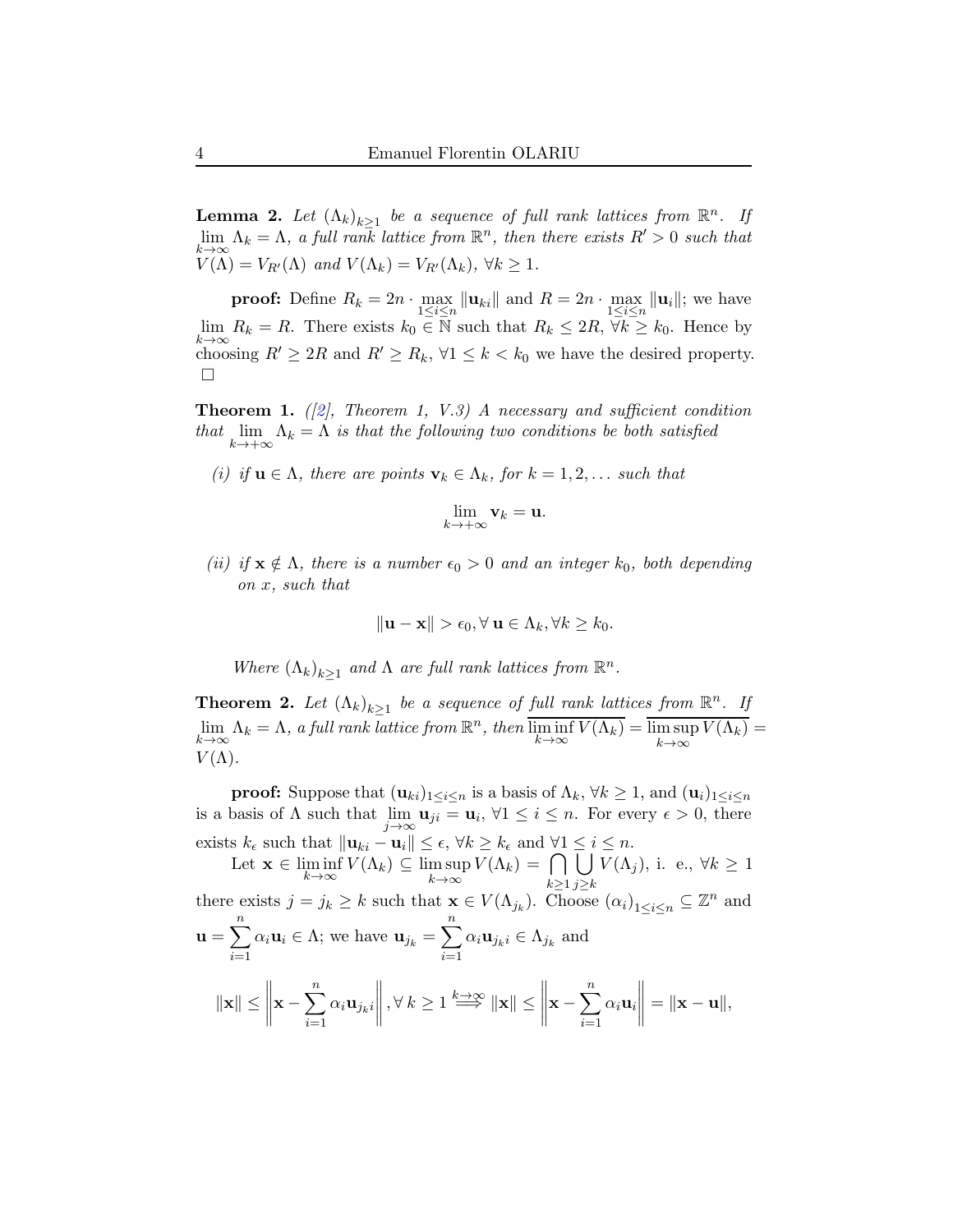**Lemma 2.** Let  $(\Lambda_k)_{k\geq 1}$  be a sequence of full rank lattices from  $\mathbb{R}^n$ . If  $\lim_{k\to\infty} \Lambda_k = \Lambda$ , a full rank lattice from  $\mathbb{R}^n$ , then there exists  $R' > 0$  such that  $V(\Lambda) = V_{R'}(\Lambda)$  and  $V(\Lambda_k) = V_{R'}(\Lambda_k)$ ,  $\forall k \geq 1$ .

**proof:** Define  $R_k = 2n \cdot \max_{1 \leq i \leq n} ||\mathbf{u}_{ki}||$  and  $R = 2n \cdot \max_{1 \leq i \leq n} ||\mathbf{u}_i||$ ; we have  $\lim_{k\to\infty} R_k = R$ . There exists  $k_0 \in \overline{\mathbb{N}}$  such that  $R_k \leq 2R$ ,  $\overline{\forall}k \geq k_0$ . Hence by choosing  $R' \geq 2R$  and  $R' \geq R_k$ ,  $\forall 1 \leq k \leq k_0$  we have the desired property.  $\Box$ 

<span id="page-3-0"></span>**Theorem 1.** ([\[2\]](#page-5-0), Theorem 1, V.3) A necessary and sufficient condition that  $\lim_{k \to +\infty} \Lambda_k = \Lambda$  is that the following two conditions be both satisfied

(i) if  $\mathbf{u} \in \Lambda$ , there are points  $\mathbf{v}_k \in \Lambda_k$ , for  $k = 1, 2, \ldots$  such that

$$
\lim_{k\to+\infty}\mathbf{v}_k=\mathbf{u}.
$$

(ii) if  $\mathbf{x} \notin \Lambda$ , there is a number  $\epsilon_0 > 0$  and an integer  $k_0$ , both depending on x, such that

$$
\|\mathbf{u} - \mathbf{x}\| > \epsilon_0, \forall \mathbf{u} \in \Lambda_k, \forall k \ge k_0.
$$

Where  $(\Lambda_k)_{k\geq 1}$  and  $\Lambda$  are full rank lattices from  $\mathbb{R}^n$ .

**Theorem 2.** Let  $(\Lambda_k)_{k\geq 1}$  be a sequence of full rank lattices from  $\mathbb{R}^n$ . If  $\lim_{k \to \infty} \Lambda_k = \Lambda$ , a full rank lattice from  $\mathbb{R}^n$ , then  $\overline{\liminf_{k \to \infty} V(\Lambda_k)} = \overline{\limsup_{k \to \infty} V(\Lambda_k)} =$  $k→∞$  $V(\Lambda)$ .

**proof:** Suppose that  $(\mathbf{u}_{ki})_{1\leq i\leq n}$  is a basis of  $\Lambda_k$ ,  $\forall k\geq 1$ , and  $(\mathbf{u}_i)_{1\leq i\leq n}$ is a basis of  $\Lambda$  such that  $\lim_{j\to\infty} \mathbf{u}_{ji} = \mathbf{u}_i, \forall 1 \leq i \leq n$ . For every  $\epsilon > 0$ , there exists  $k_{\epsilon}$  such that  $\|\mathbf{u}_{ki} - \mathbf{u}_i\| \leq \epsilon, \forall k \geq k_{\epsilon}$  and  $\forall 1 \leq i \leq n$ .

Let  $\mathbf{x} \in \liminf_{k \to \infty} V(\Lambda_k) \subseteq \limsup_{k \to \infty} V(\Lambda_k) = \bigcap_{k > k}$  $k\geq 1$  $\mathsf{L}$  $j \geq k$  $V(\Lambda_j)$ , i. e.,  $\forall k \geq 1$ there exists  $j = j_k \geq k$  such that  $\mathbf{x} \in V(\Lambda_{j_k})$ . Choose  $(\alpha_i)_{1 \leq i \leq n} \subseteq \mathbb{Z}^n$  and  $\mathbf{u} = \sum_{n=1}^{n}$  $i=1$  $\alpha_i \mathbf{u}_i \in \Lambda$ ; we have  $\mathbf{u}_{j_k} = \sum^n$  $i=1$  $\alpha_i \mathbf{u}_{j_k i} \in \Lambda_{j_k}$  and  $\|\mathbf{x}\| \leq$  $\begin{array}{c} \hline \end{array}$  $\mathbf{x} - \sum_{n=1}^{n}$  $i=1$  $\alpha_i \mathbf{u}_{j_k i}$   $, \forall k \geq 1 \Longrightarrow^{\text{k}\to\infty} \|\mathbf{x}\| \leq \left\|$  $\mathbf{x} - \sum_{n=1}^{n}$  $i=1$  $\alpha_i$ **u**<sub>i</sub>  $= \|\mathbf{x} - \mathbf{u}\|,$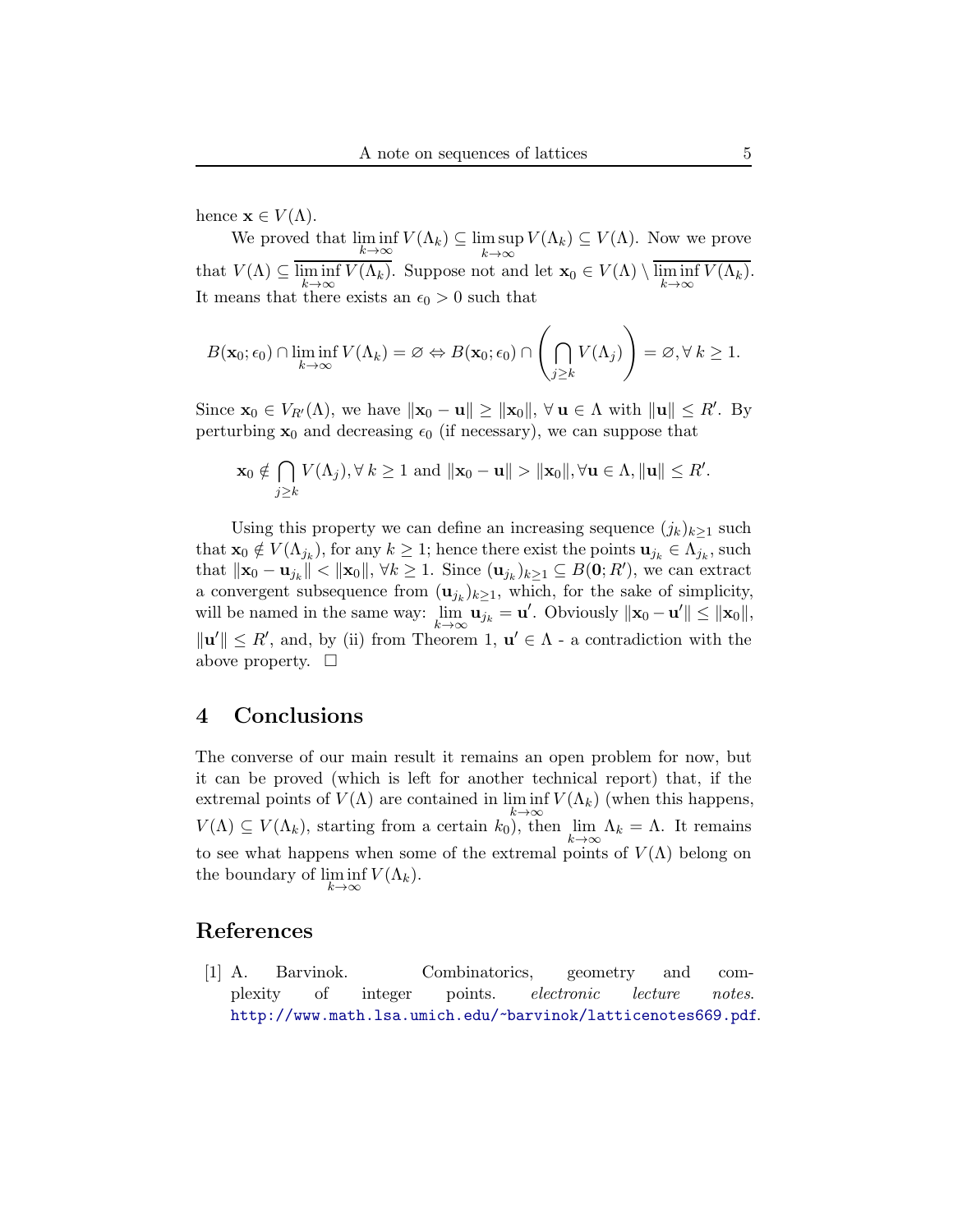hence  $\mathbf{x} \in V(\Lambda)$ .

We proved that  $\liminf_{k \to \infty} V(\Lambda_k) \subseteq \limsup_{k \to \infty} V(\Lambda_k) \subseteq V(\Lambda)$ . Now we prove that  $V(\Lambda) \subseteq \liminf_{k \to \infty} V(\Lambda_k)$ . Suppose not and let  $\mathbf{x}_0 \in V(\Lambda) \setminus \liminf_{k \to \infty} V(\Lambda_k)$ . It means that there exists an  $\epsilon_0 > 0$  such that

$$
B(\mathbf{x}_0; \epsilon_0) \cap \liminf_{k \to \infty} V(\Lambda_k) = \varnothing \Leftrightarrow B(\mathbf{x}_0; \epsilon_0) \cap \left(\bigcap_{j \ge k} V(\Lambda_j)\right) = \varnothing, \forall k \ge 1.
$$

Since  $\mathbf{x}_0 \in V_{R'}(\Lambda)$ , we have  $\|\mathbf{x}_0 - \mathbf{u}\| \geq \|\mathbf{x}_0\|$ ,  $\forall \mathbf{u} \in \Lambda$  with  $\|\mathbf{u}\| \leq R'$ . By perturbing  $x_0$  and decreasing  $\epsilon_0$  (if necessary), we can suppose that

$$
\mathbf{x}_0 \notin \bigcap_{j \geq k} V(\Lambda_j), \forall k \geq 1 \text{ and } \|\mathbf{x}_0 - \mathbf{u}\| > \|\mathbf{x}_0\|, \forall \mathbf{u} \in \Lambda, \|\mathbf{u}\| \leq R'.
$$

Using this property we can define an increasing sequence  $(j_k)_{k\geq 1}$  such that  $\mathbf{x}_0 \notin V(\Lambda_{j_k})$ , for any  $k \geq 1$ ; hence there exist the points  $\mathbf{u}_{j_k} \in \Lambda_{j_k}$ , such that  $\|\mathbf{x}_0 - \mathbf{u}_{j_k}\| < \|\mathbf{x}_0\|, \forall k \geq 1$ . Since  $(\mathbf{u}_{j_k})_{k \geq 1} \subseteq B(\mathbf{0}; R')$ , we can extract a convergent subsequence from  $(\mathbf{u}_{j_k})_{k\geq 1}$ , which, for the sake of simplicity, will be named in the same way:  $\lim_{k \to \infty} \mathbf{u}_{j_k} = \mathbf{u}'$ . Obviously  $\|\mathbf{x}_0 - \mathbf{u}'\| \le \|\mathbf{x}_0\|$ ,  $\|\mathbf{u}'\| \leq R'$ , and, by (ii) from Theorem [1,](#page-3-0)  $\mathbf{u}' \in \Lambda$  - a contradiction with the above property.  $\Box$ 

### 4 Conclusions

The converse of our main result it remains an open problem for now, but it can be proved (which is left for another technical report) that, if the extremal points of  $V(\Lambda)$  are contained in  $\liminf V(\Lambda_k)$  (when this happens,  $k\rightarrow\infty$  $V(\Lambda) \subseteq V(\Lambda_k)$ , starting from a certain  $k_0$ ), then  $\lim_{k \to \infty} \Lambda_k = \Lambda$ . It remains to see what happens when some of the extremal points of  $V(\Lambda)$  belong on the boundary of  $\liminf V(\Lambda_k)$ .  $k\rightarrow\infty$ 

#### <span id="page-4-0"></span>References

[1] A. Barvinok. Combinatorics, geometry and complexity of integer points. electronic lecture notes. <http://www.math.lsa.umich.edu/~barvinok/latticenotes669.pdf>.